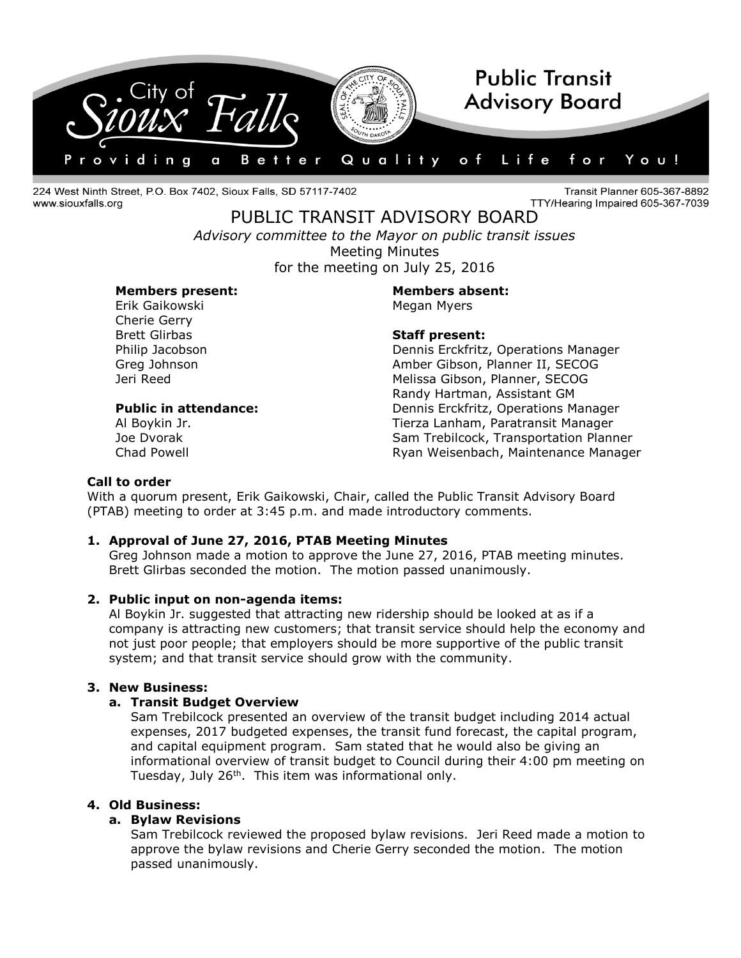

224 West Ninth Street, P.O. Box 7402, Sioux Falls, SD 57117-7402 www.siouxfalls.org

Transit Planner 605-367-8892 TTY/Hearing Impaired 605-367-7039

PUBLIC TRANSIT ADVISORY BOARD *Advisory committee to the Mayor on public transit issues* Meeting Minutes for the meeting on July 25, 2016

# **Members present: Members absent:**

Erik Gaikowski **Megan Myers** Megan Myers Cherie Gerry Brett Glirbas **Staff present:**

Philip Jacobson Dennis Erckfritz, Operations Manager Greg Johnson **Amber Gibson, Planner II, SECOG** Jeri Reed Melissa Gibson, Planner, SECOG Randy Hartman, Assistant GM **Public in attendance:** Dennis Erckfritz, Operations Manager Al Boykin Jr. Tierza Lanham, Paratransit Manager Joe Dvorak Sam Trebilcock, Transportation Planner Chad Powell **Chad Powell** Chad Powell **Ryan Weisenbach, Maintenance Manager** 

# **Call to order**

With a quorum present, Erik Gaikowski, Chair, called the Public Transit Advisory Board (PTAB) meeting to order at 3:45 p.m. and made introductory comments.

#### **1. Approval of June 27, 2016, PTAB Meeting Minutes**

Greg Johnson made a motion to approve the June 27, 2016, PTAB meeting minutes. Brett Glirbas seconded the motion. The motion passed unanimously.

#### **2. Public input on non-agenda items:**

Al Boykin Jr. suggested that attracting new ridership should be looked at as if a company is attracting new customers; that transit service should help the economy and not just poor people; that employers should be more supportive of the public transit system; and that transit service should grow with the community.

#### **3. New Business:**

#### **a. Transit Budget Overview**

Sam Trebilcock presented an overview of the transit budget including 2014 actual expenses, 2017 budgeted expenses, the transit fund forecast, the capital program, and capital equipment program. Sam stated that he would also be giving an informational overview of transit budget to Council during their 4:00 pm meeting on Tuesday, July 26<sup>th</sup>. This item was informational only.

# **4. Old Business:**

#### **a. Bylaw Revisions**

Sam Trebilcock reviewed the proposed bylaw revisions. Jeri Reed made a motion to approve the bylaw revisions and Cherie Gerry seconded the motion. The motion passed unanimously.